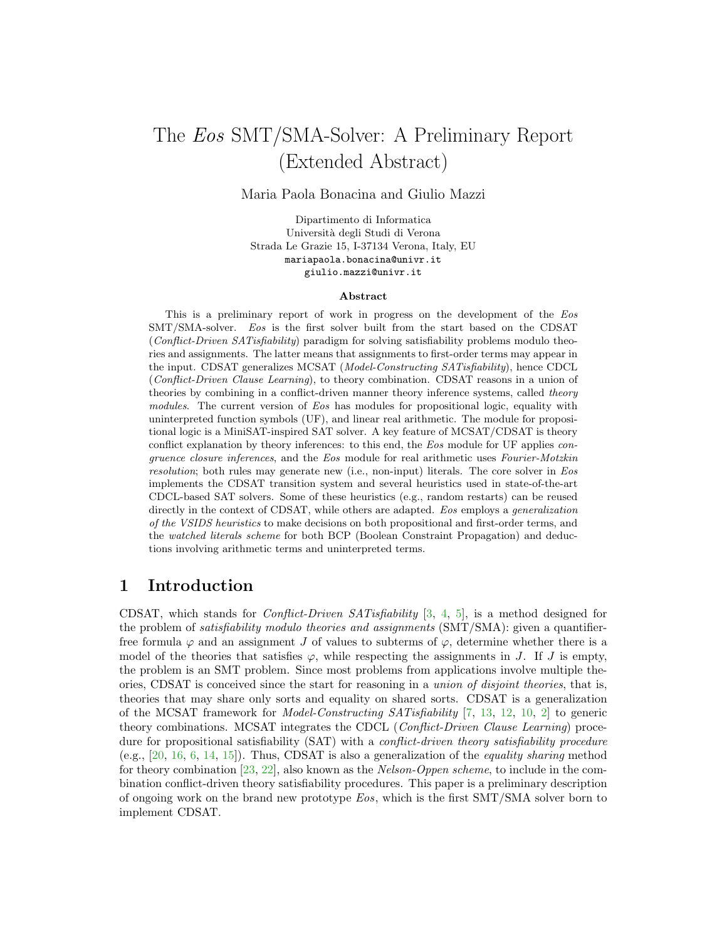# The Eos SMT/SMA-Solver: A Preliminary Report (Extended Abstract)

Maria Paola Bonacina and Giulio Mazzi

Dipartimento di Informatica Universit`a degli Studi di Verona Strada Le Grazie 15, I-37134 Verona, Italy, EU mariapaola.bonacina@univr.it giulio.mazzi@univr.it

#### Abstract

This is a preliminary report of work in progress on the development of the Eos SMT/SMA-solver. Eos is the first solver built from the start based on the CDSAT (Conflict-Driven SATisfiability) paradigm for solving satisfiability problems modulo theories and assignments. The latter means that assignments to first-order terms may appear in the input. CDSAT generalizes MCSAT (Model-Constructing SATisfiability), hence CDCL (Conflict-Driven Clause Learning), to theory combination. CDSAT reasons in a union of theories by combining in a conflict-driven manner theory inference systems, called theory modules. The current version of Eos has modules for propositional logic, equality with uninterpreted function symbols (UF), and linear real arithmetic. The module for propositional logic is a MiniSAT-inspired SAT solver. A key feature of MCSAT/CDSAT is theory conflict explanation by theory inferences: to this end, the Eos module for UF applies congruence closure inferences, and the Eos module for real arithmetic uses Fourier-Motzkin resolution; both rules may generate new (i.e., non-input) literals. The core solver in Eos implements the CDSAT transition system and several heuristics used in state-of-the-art CDCL-based SAT solvers. Some of these heuristics (e.g., random restarts) can be reused directly in the context of CDSAT, while others are adapted. Eos employs a *generalization* of the VSIDS heuristics to make decisions on both propositional and first-order terms, and the watched literals scheme for both BCP (Boolean Constraint Propagation) and deductions involving arithmetic terms and uninterpreted terms.

# 1 Introduction

CDSAT, which stands for Conflict-Driven SATisfiability [\[3,](#page-8-0) [4,](#page-8-1) [5\]](#page-8-2), is a method designed for the problem of *satisfiability modulo theories and assignments* (SMT/SMA): given a quantifierfree formula  $\varphi$  and an assignment J of values to subterms of  $\varphi$ , determine whether there is a model of the theories that satisfies  $\varphi$ , while respecting the assignments in J. If J is empty, the problem is an SMT problem. Since most problems from applications involve multiple theories, CDSAT is conceived since the start for reasoning in a union of disjoint theories, that is, theories that may share only sorts and equality on shared sorts. CDSAT is a generalization of the MCSAT framework for Model-Constructing SATisfiability [\[7,](#page-8-3) [13,](#page-9-0) [12,](#page-9-1) [10,](#page-9-2) [2\]](#page-8-4) to generic theory combinations. MCSAT integrates the CDCL (Conflict-Driven Clause Learning) procedure for propositional satisfiability (SAT) with a *conflict-driven theory satisfiability procedure* (e.g., [\[20,](#page-9-3) [16,](#page-9-4) [6,](#page-8-5) [14,](#page-9-5) [15\]](#page-9-6)). Thus, CDSAT is also a generalization of the equality sharing method for theory combination  $[23, 22]$  $[23, 22]$ , also known as the *Nelson-Oppen scheme*, to include in the combination conflict-driven theory satisfiability procedures. This paper is a preliminary description of ongoing work on the brand new prototype Eos, which is the first SMT/SMA solver born to implement CDSAT.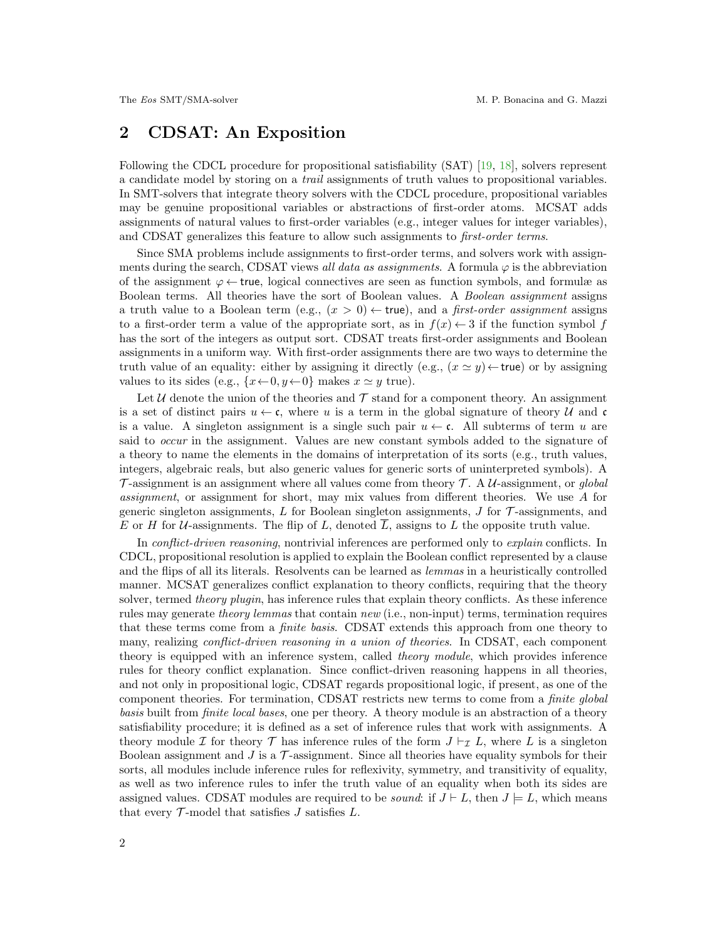# 2 CDSAT: An Exposition

Following the CDCL procedure for propositional satisfiability (SAT) [\[19,](#page-9-9) [18\]](#page-9-10), solvers represent a candidate model by storing on a trail assignments of truth values to propositional variables. In SMT-solvers that integrate theory solvers with the CDCL procedure, propositional variables may be genuine propositional variables or abstractions of first-order atoms. MCSAT adds assignments of natural values to first-order variables (e.g., integer values for integer variables), and CDSAT generalizes this feature to allow such assignments to first-order terms.

Since SMA problems include assignments to first-order terms, and solvers work with assignments during the search, CDSAT views all data as assignments. A formula  $\varphi$  is the abbreviation of the assignment  $\varphi \leftarrow$  true, logical connectives are seen as function symbols, and formulæ as Boolean terms. All theories have the sort of Boolean values. A *Boolean assignment* assigns a truth value to a Boolean term (e.g.,  $(x > 0) \leftarrow$  true), and a *first-order assignment* assigns to a first-order term a value of the appropriate sort, as in  $f(x) \leftarrow 3$  if the function symbol f has the sort of the integers as output sort. CDSAT treats first-order assignments and Boolean assignments in a uniform way. With first-order assignments there are two ways to determine the truth value of an equality: either by assigning it directly (e.g.,  $(x \simeq y) \leftarrow \text{true}$ ) or by assigning values to its sides (e.g.,  $\{x \leftarrow 0, y \leftarrow 0\}$  makes  $x \simeq y$  true).

Let U denote the union of the theories and  $\mathcal T$  stand for a component theory. An assignment is a set of distinct pairs  $u \leftarrow \mathfrak{c}$ , where u is a term in the global signature of theory U and  $\mathfrak{c}$ is a value. A singleton assignment is a single such pair  $u \leftarrow \mathfrak{c}$ . All subterms of term u are said to occur in the assignment. Values are new constant symbols added to the signature of a theory to name the elements in the domains of interpretation of its sorts (e.g., truth values, integers, algebraic reals, but also generic values for generic sorts of uninterpreted symbols). A  $\mathcal T$ -assignment is an assignment where all values come from theory  $\mathcal T$ . A U-assignment, or global assignment, or assignment for short, may mix values from different theories. We use A for generic singleton assignments,  $L$  for Boolean singleton assignments,  $J$  for  $\mathcal T$ -assignments, and E or H for U-assignments. The flip of L, denoted  $\overline{L}$ , assigns to L the opposite truth value.

In *conflict-driven reasoning*, nontrivial inferences are performed only to *explain* conflicts. In CDCL, propositional resolution is applied to explain the Boolean conflict represented by a clause and the flips of all its literals. Resolvents can be learned as lemmas in a heuristically controlled manner. MCSAT generalizes conflict explanation to theory conflicts, requiring that the theory solver, termed theory plugin, has inference rules that explain theory conflicts. As these inference rules may generate theory lemmas that contain new (i.e., non-input) terms, termination requires that these terms come from a finite basis. CDSAT extends this approach from one theory to many, realizing *conflict-driven reasoning in a union of theories*. In CDSAT, each component theory is equipped with an inference system, called theory module, which provides inference rules for theory conflict explanation. Since conflict-driven reasoning happens in all theories, and not only in propositional logic, CDSAT regards propositional logic, if present, as one of the component theories. For termination, CDSAT restricts new terms to come from a finite global basis built from finite local bases, one per theory. A theory module is an abstraction of a theory satisfiability procedure; it is defined as a set of inference rules that work with assignments. A theory module I for theory T has inference rules of the form  $J \vdash_{\mathcal{I}} L$ , where L is a singleton Boolean assignment and  $J$  is a  $\mathcal T$ -assignment. Since all theories have equality symbols for their sorts, all modules include inference rules for reflexivity, symmetry, and transitivity of equality, as well as two inference rules to infer the truth value of an equality when both its sides are assigned values. CDSAT modules are required to be *sound*: if  $J \vdash L$ , then  $J \models L$ , which means that every  $\mathcal{T}$ -model that satisfies  $J$  satisfies  $L$ .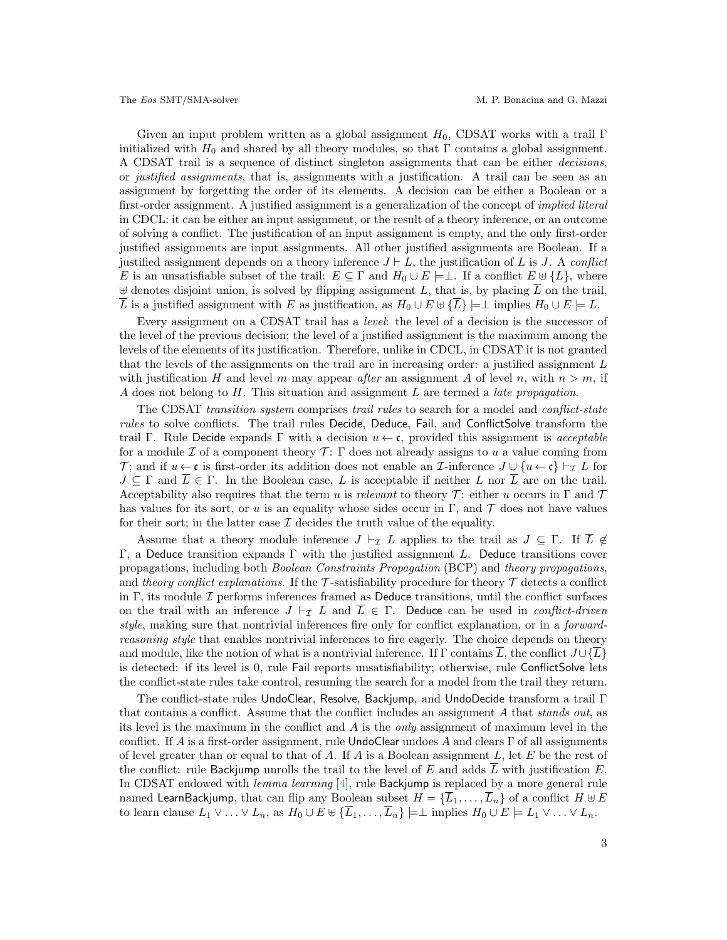Given an input problem written as a global assignment  $H_0$ , CDSAT works with a trail Γ initialized with  $H_0$  and shared by all theory modules, so that Γ contains a global assignment. A CDSAT trail is a sequence of distinct singleton assignments that can be either decisions, or justified assignments, that is, assignments with a justification. A trail can be seen as an assignment by forgetting the order of its elements. A decision can be either a Boolean or a first-order assignment. A justified assignment is a generalization of the concept of *implied literal* in CDCL: it can be either an input assignment, or the result of a theory inference, or an outcome of solving a conflict. The justification of an input assignment is empty, and the only first-order justified assignments are input assignments. All other justified assignments are Boolean. If a justified assignment depends on a theory inference  $J \vdash L$ , the justification of L is J. A conflict E is an unsatisfiable subset of the trail:  $E \subseteq \Gamma$  and  $H_0 \cup E \models \bot$ . If a conflict  $E \uplus \{L\}$ , where  $\forall$  denotes disjoint union, is solved by flipping assignment L, that is, by placing L on the trail,  $\overline{L}$  is a justified assignment with E as justification, as  $H_0 \cup E \oplus {\overline{\{L\}}} \models \perp$  implies  $H_0 \cup E \models L$ .

Every assignment on a CDSAT trail has a *level*: the level of a decision is the successor of the level of the previous decision; the level of a justified assignment is the maximum among the levels of the elements of its justification. Therefore, unlike in CDCL, in CDSAT it is not granted that the levels of the assignments on the trail are in increasing order: a justified assignment  $L$ with justification H and level m may appear after an assignment A of level n, with  $n > m$ , if A does not belong to  $H$ . This situation and assignment  $L$  are termed a *late propagation*.

The CDSAT transition system comprises trail rules to search for a model and *conflict-state* rules to solve conflicts. The trail rules Decide, Deduce, Fail, and ConflictSolve transform the trail Γ. Rule Decide expands Γ with a decision  $u \leftarrow \mathfrak{c}$ , provided this assignment is *acceptable* for a module I of a component theory  $\mathcal{T}$ :  $\Gamma$  does not already assigns to u a value coming from T; and if  $u \leftarrow \mathfrak{c}$  is first-order its addition does not enable an *I*-inference  $J \cup \{u \leftarrow \mathfrak{c}\}\vdash_{\tau} L$  for  $J \subseteq \Gamma$  and  $\overline{L} \in \Gamma$ . In the Boolean case, L is acceptable if neither L nor  $\overline{L}$  are on the trail. Acceptability also requires that the term u is relevant to theory T: either u occurs in  $\Gamma$  and  $\mathcal T$ has values for its sort, or u is an equality whose sides occur in Γ, and  $\mathcal T$  does not have values for their sort; in the latter case  $\mathcal I$  decides the truth value of the equality.

Assume that a theory module inference  $J \vdash_{\mathcal{I}} L$  applies to the trail as  $J \subseteq \Gamma$ . If  $\overline{L} \notin$ Γ, a Deduce transition expands Γ with the justified assignment L. Deduce transitions cover propagations, including both Boolean Constraints Propagation (BCP) and theory propagations, and theory conflict explanations. If the  $\mathcal T$ -satisfiability procedure for theory  $\mathcal T$  detects a conflict in Γ, its module  $\mathcal I$  performs inferences framed as Deduce transitions, until the conflict surfaces on the trail with an inference  $J \vdash_{\mathcal{I}} L$  and  $L \in \Gamma$ . Deduce can be used in *conflict-driven* style, making sure that nontrivial inferences fire only for conflict explanation, or in a forwardreasoning style that enables nontrivial inferences to fire eagerly. The choice depends on theory and module, like the notion of what is a nontrivial inference. If  $\Gamma$  contains  $\overline{L}$ , the conflict  $J\cup\{\overline{L}\}\$ is detected: if its level is 0, rule Fail reports unsatisfiability; otherwise, rule ConflictSolve lets the conflict-state rules take control, resuming the search for a model from the trail they return.

The conflict-state rules UndoClear, Resolve, Backjump, and UndoDecide transform a trail Γ that contains a conflict. Assume that the conflict includes an assignment A that stands out, as its level is the maximum in the conflict and  $\tilde{A}$  is the *only* assignment of maximum level in the conflict. If A is a first-order assignment, rule UndoClear undoes A and clears  $\Gamma$  of all assignments of level greater than or equal to that of A. If A is a Boolean assignment  $L$ , let  $E$  be the rest of the conflict: rule Backjump unrolls the trail to the level of E and adds  $\overline{L}$  with justification E. In CDSAT endowed with lemma learning [\[4\]](#page-8-1), rule Backjump is replaced by a more general rule named LearnBackjump, that can flip any Boolean subset  $H = \{L_1, \ldots, L_n\}$  of a conflict  $H \oplus E$ to learn clause  $L_1 \vee \ldots \vee L_n$ , as  $H_0 \cup E \cup \{ \overline{L}_1, \ldots, \overline{L}_n \} \models \perp \text{implies } H_0 \cup E \models L_1 \vee \ldots \vee L_n$ .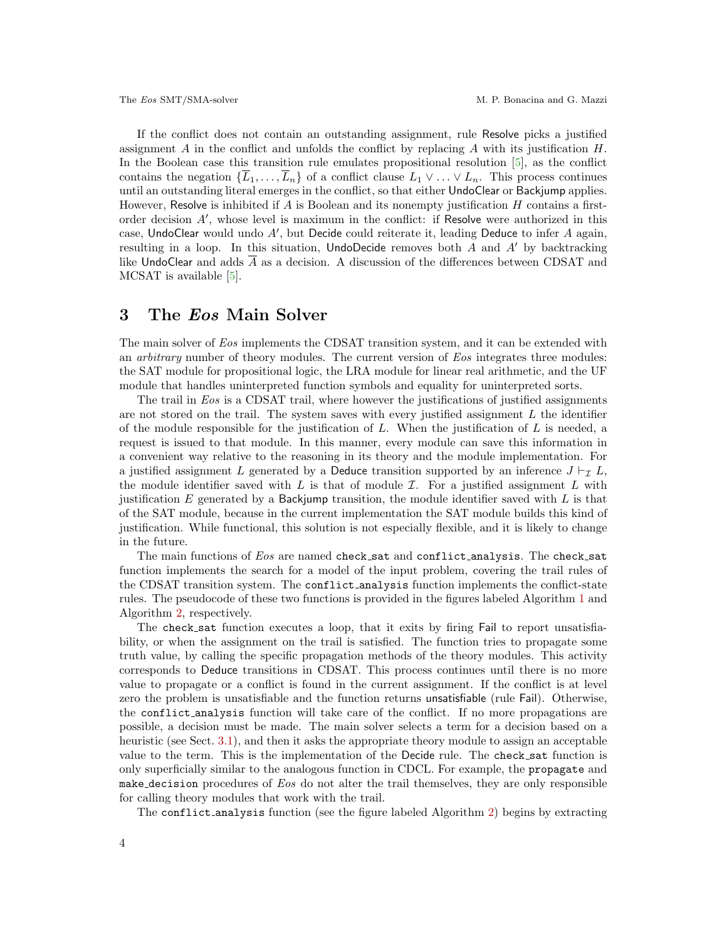If the conflict does not contain an outstanding assignment, rule Resolve picks a justified assignment A in the conflict and unfolds the conflict by replacing A with its justification  $H$ . In the Boolean case this transition rule emulates propositional resolution [\[5\]](#page-8-2), as the conflict contains the negation  $\{\overline{L}_1,\ldots,\overline{L}_n\}$  of a conflict clause  $L_1 \vee \ldots \vee L_n$ . This process continues until an outstanding literal emerges in the conflict, so that either UndoClear or Backjump applies. However, Resolve is inhibited if  $A$  is Boolean and its nonempty justification  $H$  contains a firstorder decision  $A'$ , whose level is maximum in the conflict: if Resolve were authorized in this case, UndoClear would undo  $A'$ , but Decide could reiterate it, leading Deduce to infer  $A$  again, resulting in a loop. In this situation, UndoDecide removes both  $A$  and  $A'$  by backtracking like UndoClear and adds A as a decision. A discussion of the differences between CDSAT and MCSAT is available [\[5\]](#page-8-2).

## 3 The Eos Main Solver

The main solver of Eos implements the CDSAT transition system, and it can be extended with an *arbitrary* number of theory modules. The current version of Eos integrates three modules: the SAT module for propositional logic, the LRA module for linear real arithmetic, and the UF module that handles uninterpreted function symbols and equality for uninterpreted sorts.

The trail in Eos is a CDSAT trail, where however the justifications of justified assignments are not stored on the trail. The system saves with every justified assignment  $L$  the identifier of the module responsible for the justification of  $L$ . When the justification of  $L$  is needed, a request is issued to that module. In this manner, every module can save this information in a convenient way relative to the reasoning in its theory and the module implementation. For a justified assignment L generated by a Deduce transition supported by an inference  $J \vdash_{\mathcal{I}} L$ , the module identifier saved with L is that of module  $\mathcal{I}$ . For a justified assignment L with justification  $E$  generated by a Backjump transition, the module identifier saved with  $L$  is that of the SAT module, because in the current implementation the SAT module builds this kind of justification. While functional, this solution is not especially flexible, and it is likely to change in the future.

The main functions of Eos are named check sat and conflict analysis. The check sat function implements the search for a model of the input problem, covering the trail rules of the CDSAT transition system. The conflict analysis function implements the conflict-state rules. The pseudocode of these two functions is provided in the figures labeled Algorithm [1](#page-4-0) and Algorithm [2,](#page-5-0) respectively.

The check sat function executes a loop, that it exits by firing Fail to report unsatisfiability, or when the assignment on the trail is satisfied. The function tries to propagate some truth value, by calling the specific propagation methods of the theory modules. This activity corresponds to Deduce transitions in CDSAT. This process continues until there is no more value to propagate or a conflict is found in the current assignment. If the conflict is at level zero the problem is unsatisfiable and the function returns unsatisfiable (rule Fail). Otherwise, the conflict analysis function will take care of the conflict. If no more propagations are possible, a decision must be made. The main solver selects a term for a decision based on a heuristic (see Sect. [3.1\)](#page-4-1), and then it asks the appropriate theory module to assign an acceptable value to the term. This is the implementation of the Decide rule. The check sat function is only superficially similar to the analogous function in CDCL. For example, the propagate and make decision procedures of Eos do not alter the trail themselves, they are only responsible for calling theory modules that work with the trail.

The conflict analysis function (see the figure labeled Algorithm [2\)](#page-5-0) begins by extracting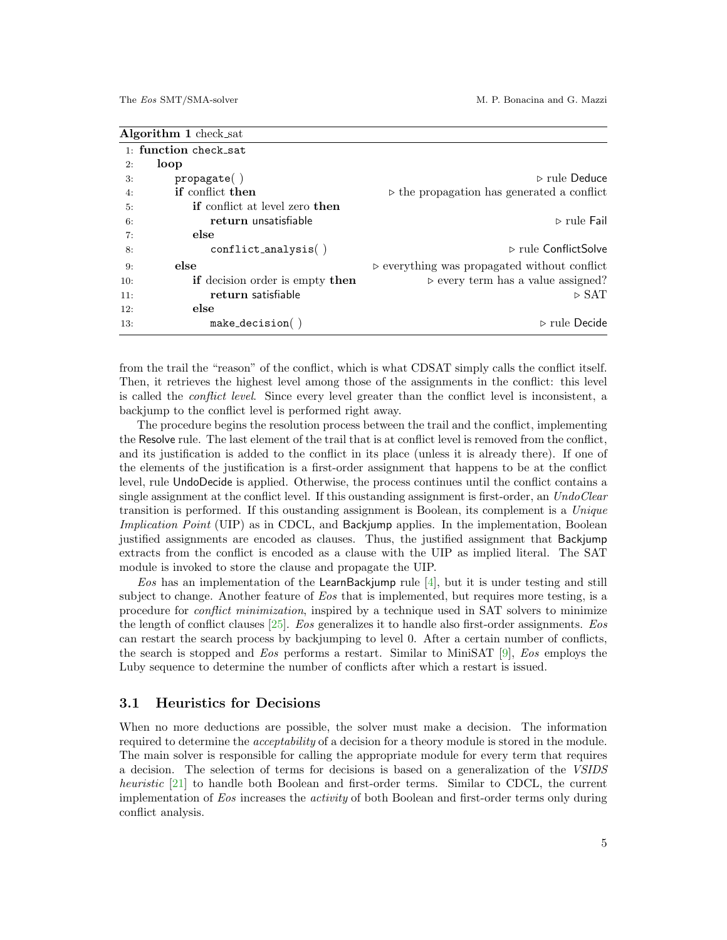<span id="page-4-0"></span>

| <b>Algorithm 1</b> check_sat |                                              |                                                             |  |  |
|------------------------------|----------------------------------------------|-------------------------------------------------------------|--|--|
|                              | 1: function check sat                        |                                                             |  |  |
| 2:                           | loop                                         |                                                             |  |  |
| 3:                           | propagate()                                  | $\triangleright$ rule Deduce                                |  |  |
| 4:                           | if conflict then                             | $\triangleright$ the propagation has generated a conflict   |  |  |
| 5:                           | <b>if</b> conflict at level zero <b>then</b> |                                                             |  |  |
| 6:                           | return unsatisfiable                         | $\triangleright$ rule Fail                                  |  |  |
| 7:                           | else                                         |                                                             |  |  |
| 8:                           | $conflict_andlysis( )$                       | $\triangleright$ rule ConflictSolve                         |  |  |
| 9:                           | else                                         | $\triangleright$ everything was propagated without conflict |  |  |
| 10:                          | if decision order is empty then              | $\triangleright$ every term has a value assigned?           |  |  |
| 11:                          | return satisfiable                           | $\triangleright$ SAT                                        |  |  |
| 12:                          | else                                         |                                                             |  |  |
| 13:                          | $make\_decision()$                           | $\triangleright$ rule Decide                                |  |  |
|                              |                                              |                                                             |  |  |

from the trail the "reason" of the conflict, which is what CDSAT simply calls the conflict itself. Then, it retrieves the highest level among those of the assignments in the conflict: this level is called the conflict level. Since every level greater than the conflict level is inconsistent, a backjump to the conflict level is performed right away.

The procedure begins the resolution process between the trail and the conflict, implementing the Resolve rule. The last element of the trail that is at conflict level is removed from the conflict, and its justification is added to the conflict in its place (unless it is already there). If one of the elements of the justification is a first-order assignment that happens to be at the conflict level, rule UndoDecide is applied. Otherwise, the process continues until the conflict contains a single assignment at the conflict level. If this oustanding assignment is first-order, an UndoClear transition is performed. If this oustanding assignment is Boolean, its complement is a Unique Implication Point (UIP) as in CDCL, and Backjump applies. In the implementation, Boolean justified assignments are encoded as clauses. Thus, the justified assignment that Backjump extracts from the conflict is encoded as a clause with the UIP as implied literal. The SAT module is invoked to store the clause and propagate the UIP.

Eos has an implementation of the LearnBackjump rule  $[4]$ , but it is under testing and still subject to change. Another feature of Eos that is implemented, but requires more testing, is a procedure for conflict minimization, inspired by a technique used in SAT solvers to minimize the length of conflict clauses [\[25\]](#page-9-11). Eos generalizes it to handle also first-order assignments. Eos can restart the search process by backjumping to level 0. After a certain number of conflicts, the search is stopped and Eos performs a restart. Similar to MiniSAT [\[9\]](#page-8-6), Eos employs the Luby sequence to determine the number of conflicts after which a restart is issued.

#### <span id="page-4-1"></span>3.1 Heuristics for Decisions

When no more deductions are possible, the solver must make a decision. The information required to determine the acceptability of a decision for a theory module is stored in the module. The main solver is responsible for calling the appropriate module for every term that requires a decision. The selection of terms for decisions is based on a generalization of the VSIDS heuristic [\[21\]](#page-9-12) to handle both Boolean and first-order terms. Similar to CDCL, the current implementation of Eos increases the activity of both Boolean and first-order terms only during conflict analysis.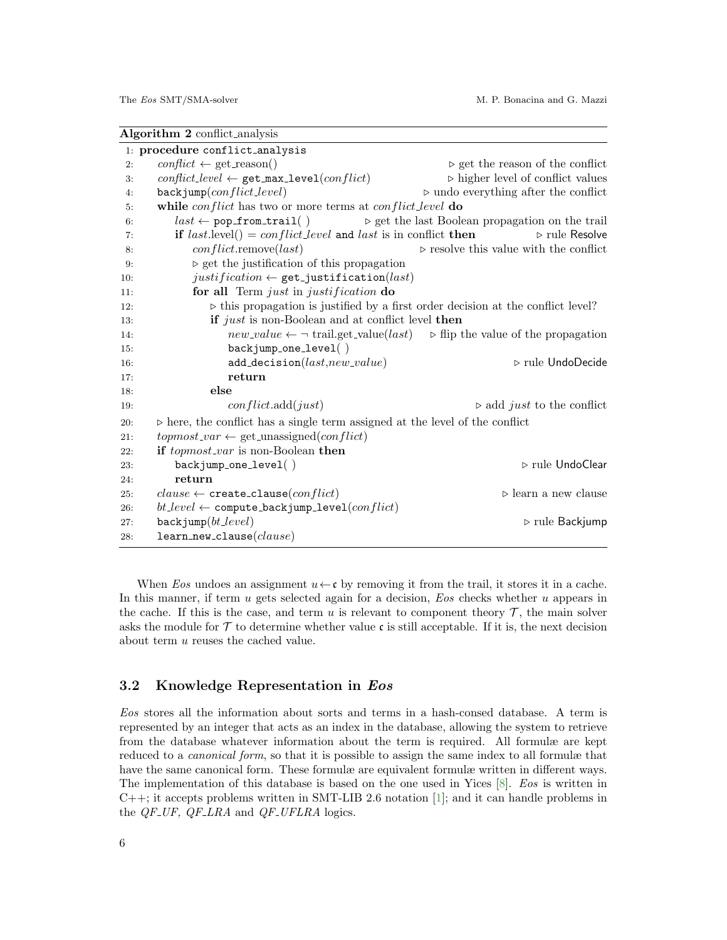<span id="page-5-0"></span>

| Algorithm 2 conflict_analysis  |                                                                                                                 |                                                                                                                   |  |
|--------------------------------|-----------------------------------------------------------------------------------------------------------------|-------------------------------------------------------------------------------------------------------------------|--|
| 1: procedure conflict_analysis |                                                                                                                 |                                                                                                                   |  |
| 2:                             | $conflict \leftarrow get\_reason()$                                                                             | $\triangleright$ get the reason of the conflict                                                                   |  |
| 3:                             | $conflict\_level \leftarrow get\_max\_level(conflict)$                                                          | $\triangleright$ higher level of conflict values                                                                  |  |
| 4:                             | $\texttt{backjump}(conflict\_level)$                                                                            | $\triangleright$ undo everything after the conflict                                                               |  |
| 5:                             | while <i>conflict</i> has two or more terms at <i>conflict_level</i> do                                         |                                                                                                                   |  |
| 6:                             | $last \leftarrow \texttt{pop\_from\_trail}()$<br>$\triangleright$ get the last Boolean propagation on the trail |                                                                                                                   |  |
| 7:                             | if $last$ .level() = conflict_level and last is in conflict then                                                | $\triangleright$ rule Resolve                                                                                     |  |
| 8:                             | $conflict$ .remove $last)$                                                                                      | $\triangleright$ resolve this value with the conflict                                                             |  |
| 9:                             | $\triangleright$ get the justification of this propagation                                                      |                                                                                                                   |  |
| 10:                            | $justification \leftarrow get\_justification(last)$                                                             |                                                                                                                   |  |
| 11:                            | for all Term just in justification do                                                                           |                                                                                                                   |  |
| 12:                            | $\triangleright$ this propagation is justified by a first order decision at the conflict level?                 |                                                                                                                   |  |
| 13:                            | if just is non-Boolean and at conflict level then                                                               |                                                                                                                   |  |
| 14:                            |                                                                                                                 | $new\_value \leftarrow \neg \text{ trail.get\_value}(last) \Rightarrow \text{ flip the value of the propagation}$ |  |
| 15:                            | $backjump-one\_level( )$                                                                                        |                                                                                                                   |  |
| 16:                            | $add\_decision(last,new\_value)$                                                                                | $\triangleright$ rule UndoDecide                                                                                  |  |
| 17:                            | return                                                                                                          |                                                                                                                   |  |
| 18:                            | else                                                                                                            |                                                                                                                   |  |
| 19:                            | conflict.add(just)                                                                                              | $\triangleright$ add <i>just</i> to the conflict                                                                  |  |
| 20:                            | $\triangleright$ here, the conflict has a single term assigned at the level of the conflict                     |                                                                                                                   |  |
| 21:                            | $topmost\_var \leftarrow get\_unassigned(conflict)$                                                             |                                                                                                                   |  |
| 22:                            | if <i>topmost_var</i> is non-Boolean then                                                                       |                                                                                                                   |  |
| 23:                            | $backjump-one-level()$                                                                                          | $\triangleright$ rule UndoClear                                                                                   |  |
| 24:                            | return                                                                                                          |                                                                                                                   |  |
| 25:                            | $clause \leftarrow \texttt{create\_clause}(conflict)$                                                           | $\triangleright$ learn a new clause                                                                               |  |
| 26:                            | $bt\_level \leftarrow \texttt{compute\_backjump\_level}(conflict)$                                              |                                                                                                                   |  |
| 27:                            | $\texttt{backjump}(bt\_level)$                                                                                  | $\triangleright$ rule Backjump                                                                                    |  |
| 28:                            | $learn_new\_clause(alause)$                                                                                     |                                                                                                                   |  |

When Eos undoes an assignment  $u \leftarrow \mathbf{c}$  by removing it from the trail, it stores it in a cache. In this manner, if term u gets selected again for a decision, Eos checks whether u appears in the cache. If this is the case, and term  $u$  is relevant to component theory  $\mathcal{T}$ , the main solver asks the module for  $\mathcal T$  to determine whether value c is still acceptable. If it is, the next decision about term u reuses the cached value.

#### 3.2 Knowledge Representation in Eos

Eos stores all the information about sorts and terms in a hash-consed database. A term is represented by an integer that acts as an index in the database, allowing the system to retrieve from the database whatever information about the term is required. All formulæ are kept reduced to a *canonical form*, so that it is possible to assign the same index to all formulæ that have the same canonical form. These formulæ are equivalent formulæ written in different ways. The implementation of this database is based on the one used in Yices [\[8\]](#page-8-7). Eos is written in C++; it accepts problems written in SMT-LIB 2.6 notation [\[1\]](#page-8-8); and it can handle problems in the  $QF_{-}UF$ ,  $QF_{-}LRA$  and  $QF_{-}UFLRA$  logics.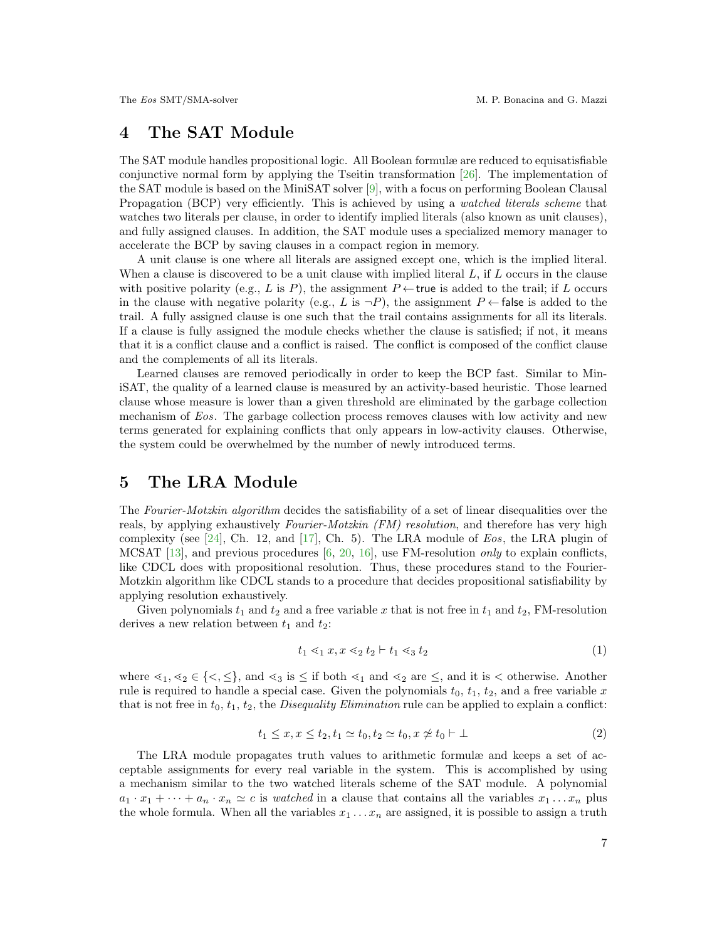# 4 The SAT Module

The SAT module handles propositional logic. All Boolean formulæ are reduced to equisatisfiable conjunctive normal form by applying the Tseitin transformation [\[26\]](#page-9-13). The implementation of the SAT module is based on the MiniSAT solver [\[9\]](#page-8-6), with a focus on performing Boolean Clausal Propagation (BCP) very efficiently. This is achieved by using a *watched literals scheme* that watches two literals per clause, in order to identify implied literals (also known as unit clauses), and fully assigned clauses. In addition, the SAT module uses a specialized memory manager to accelerate the BCP by saving clauses in a compact region in memory.

A unit clause is one where all literals are assigned except one, which is the implied literal. When a clause is discovered to be a unit clause with implied literal  $L$ , if  $L$  occurs in the clause with positive polarity (e.g., L is P), the assignment  $P \leftarrow$  true is added to the trail; if L occurs in the clause with negative polarity (e.g., L is  $\neg P$ ), the assignment P  $\leftarrow$  false is added to the trail. A fully assigned clause is one such that the trail contains assignments for all its literals. If a clause is fully assigned the module checks whether the clause is satisfied; if not, it means that it is a conflict clause and a conflict is raised. The conflict is composed of the conflict clause and the complements of all its literals.

Learned clauses are removed periodically in order to keep the BCP fast. Similar to MiniSAT, the quality of a learned clause is measured by an activity-based heuristic. Those learned clause whose measure is lower than a given threshold are eliminated by the garbage collection mechanism of Eos. The garbage collection process removes clauses with low activity and new terms generated for explaining conflicts that only appears in low-activity clauses. Otherwise, the system could be overwhelmed by the number of newly introduced terms.

# 5 The LRA Module

The Fourier-Motzkin algorithm decides the satisfiability of a set of linear disequalities over the reals, by applying exhaustively *Fourier-Motzkin (FM) resolution*, and therefore has very high complexity (see [\[24\]](#page-9-14), Ch. 12, and [\[17\]](#page-9-15), Ch. 5). The LRA module of  $Eos$ , the LRA plugin of MCSAT [\[13\]](#page-9-0), and previous procedures [\[6,](#page-8-5) [20,](#page-9-3) [16\]](#page-9-4), use FM-resolution *only* to explain conflicts, like CDCL does with propositional resolution. Thus, these procedures stand to the Fourier-Motzkin algorithm like CDCL stands to a procedure that decides propositional satisfiability by applying resolution exhaustively.

Given polynomials  $t_1$  and  $t_2$  and a free variable x that is not free in  $t_1$  and  $t_2$ , FM-resolution derives a new relation between  $t_1$  and  $t_2$ :

<span id="page-6-0"></span>
$$
t_1 \leq_1 x, x \leq_2 t_2 \vdash t_1 \leq_3 t_2 \tag{1}
$$

<span id="page-6-1"></span>where  $\leq_1, \leq_2 \in \{<, \leq\}$ , and  $\leq_3$  is  $\leq$  if both  $\leq_1$  and  $\leq_2$  are  $\leq$ , and it is  $\lt$  otherwise. Another rule is required to handle a special case. Given the polynomials  $t_0, t_1, t_2$ , and a free variable x that is not free in  $t_0$ ,  $t_1$ ,  $t_2$ , the *Disequality Elimination* rule can be applied to explain a conflict:

$$
t_1 \le x, x \le t_2, t_1 \simeq t_0, t_2 \simeq t_0, x \not\simeq t_0 \vdash \bot \tag{2}
$$

The LRA module propagates truth values to arithmetic formulæ and keeps a set of acceptable assignments for every real variable in the system. This is accomplished by using a mechanism similar to the two watched literals scheme of the SAT module. A polynomial  $a_1 \cdot x_1 + \cdots + a_n \cdot x_n \simeq c$  is *watched* in a clause that contains all the variables  $x_1 \ldots x_n$  plus the whole formula. When all the variables  $x_1 \ldots x_n$  are assigned, it is possible to assign a truth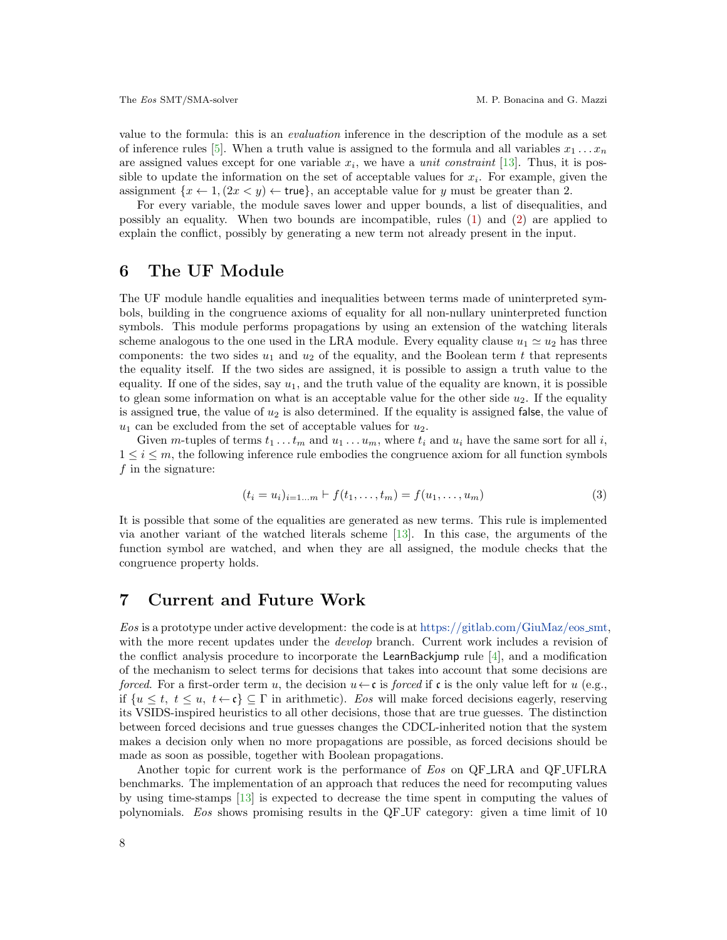value to the formula: this is an evaluation inference in the description of the module as a set of inference rules [\[5\]](#page-8-2). When a truth value is assigned to the formula and all variables  $x_1 \ldots x_n$ are assigned values except for one variable  $x_i$ , we have a *unit constraint* [\[13\]](#page-9-0). Thus, it is possible to update the information on the set of acceptable values for  $x_i$ . For example, given the assignment  $\{x \leftarrow 1, (2x \le y) \leftarrow \text{true}\},$  an acceptable value for y must be greater than 2.

For every variable, the module saves lower and upper bounds, a list of disequalities, and possibly an equality. When two bounds are incompatible, rules  $(1)$  and  $(2)$  are applied to explain the conflict, possibly by generating a new term not already present in the input.

### 6 The UF Module

The UF module handle equalities and inequalities between terms made of uninterpreted symbols, building in the congruence axioms of equality for all non-nullary uninterpreted function symbols. This module performs propagations by using an extension of the watching literals scheme analogous to the one used in the LRA module. Every equality clause  $u_1 \simeq u_2$  has three components: the two sides  $u_1$  and  $u_2$  of the equality, and the Boolean term t that represents the equality itself. If the two sides are assigned, it is possible to assign a truth value to the equality. If one of the sides, say  $u_1$ , and the truth value of the equality are known, it is possible to glean some information on what is an acceptable value for the other side  $u_2$ . If the equality is assigned true, the value of  $u_2$  is also determined. If the equality is assigned false, the value of  $u_1$  can be excluded from the set of acceptable values for  $u_2$ .

Given m-tuples of terms  $t_1 \ldots t_m$  and  $u_1 \ldots u_m$ , where  $t_i$  and  $u_i$  have the same sort for all i,  $1 \leq i \leq m$ , the following inference rule embodies the congruence axiom for all function symbols  $f$  in the signature:

$$
(t_i = u_i)_{i=1...m} \vdash f(t_1,...,t_m) = f(u_1,...,u_m)
$$
\n(3)

It is possible that some of the equalities are generated as new terms. This rule is implemented via another variant of the watched literals scheme [\[13\]](#page-9-0). In this case, the arguments of the function symbol are watched, and when they are all assigned, the module checks that the congruence property holds.

### 7 Current and Future Work

Eos is a prototype under active development: the code is at [https://gitlab.com/GiuMaz/eos](https://gitlab.com/GiuMaz/eos_smt)\_smt, with the more recent updates under the *develop* branch. Current work includes a revision of the conflict analysis procedure to incorporate the LearnBackjump rule [\[4\]](#page-8-1), and a modification of the mechanism to select terms for decisions that takes into account that some decisions are forced. For a first-order term u, the decision  $u \leftarrow c$  is forced if c is the only value left for u (e.g., if  $\{u \leq t, t \leq u, t \leftarrow \mathfrak{c}\}\subseteq \Gamma$  in arithmetic). Eos will make forced decisions eagerly, reserving its VSIDS-inspired heuristics to all other decisions, those that are true guesses. The distinction between forced decisions and true guesses changes the CDCL-inherited notion that the system makes a decision only when no more propagations are possible, as forced decisions should be made as soon as possible, together with Boolean propagations.

Another topic for current work is the performance of Eos on QF LRA and QF UFLRA benchmarks. The implementation of an approach that reduces the need for recomputing values by using time-stamps [\[13\]](#page-9-0) is expected to decrease the time spent in computing the values of polynomials. Eos shows promising results in the QF UF category: given a time limit of 10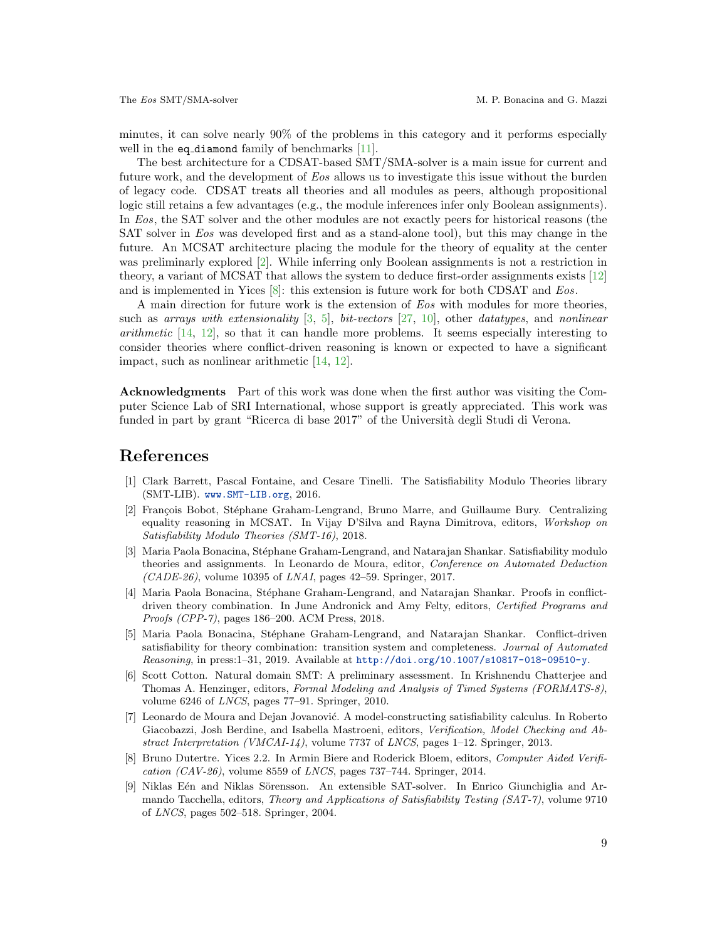minutes, it can solve nearly 90% of the problems in this category and it performs especially well in the eq\_diamond family of benchmarks [\[11\]](#page-9-16).

The best architecture for a CDSAT-based SMT/SMA-solver is a main issue for current and future work, and the development of Eos allows us to investigate this issue without the burden of legacy code. CDSAT treats all theories and all modules as peers, although propositional logic still retains a few advantages (e.g., the module inferences infer only Boolean assignments). In Eos, the SAT solver and the other modules are not exactly peers for historical reasons (the SAT solver in Eos was developed first and as a stand-alone tool), but this may change in the future. An MCSAT architecture placing the module for the theory of equality at the center was preliminarly explored [\[2\]](#page-8-4). While inferring only Boolean assignments is not a restriction in theory, a variant of MCSAT that allows the system to deduce first-order assignments exists [\[12\]](#page-9-1) and is implemented in Yices [\[8\]](#page-8-7): this extension is future work for both CDSAT and Eos.

A main direction for future work is the extension of Eos with modules for more theories, such as arrays with extensionality  $[3, 5]$  $[3, 5]$  $[3, 5]$ , bit-vectors  $[27, 10]$  $[27, 10]$  $[27, 10]$ , other datatypes, and nonlinear arithmetic [\[14,](#page-9-5) [12\]](#page-9-1), so that it can handle more problems. It seems especially interesting to consider theories where conflict-driven reasoning is known or expected to have a significant impact, such as nonlinear arithmetic [\[14,](#page-9-5) [12\]](#page-9-1).

Acknowledgments Part of this work was done when the first author was visiting the Computer Science Lab of SRI International, whose support is greatly appreciated. This work was funded in part by grant "Ricerca di base 2017" of the Università degli Studi di Verona.

# References

- <span id="page-8-8"></span>[1] Clark Barrett, Pascal Fontaine, and Cesare Tinelli. The Satisfiability Modulo Theories library (SMT-LIB). <www.SMT-LIB.org>, 2016.
- <span id="page-8-4"></span>[2] François Bobot, Stéphane Graham-Lengrand, Bruno Marre, and Guillaume Bury. Centralizing equality reasoning in MCSAT. In Vijay D'Silva and Rayna Dimitrova, editors, Workshop on Satisfiability Modulo Theories (SMT-16), 2018.
- <span id="page-8-0"></span>[3] Maria Paola Bonacina, Stéphane Graham-Lengrand, and Natarajan Shankar. Satisfiability modulo theories and assignments. In Leonardo de Moura, editor, Conference on Automated Deduction  $(CADE-26)$ , volume 10395 of *LNAI*, pages 42–59. Springer, 2017.
- <span id="page-8-1"></span>[4] Maria Paola Bonacina, Stéphane Graham-Lengrand, and Natarajan Shankar. Proofs in conflictdriven theory combination. In June Andronick and Amy Felty, editors, Certified Programs and Proofs (CPP-7), pages 186–200. ACM Press, 2018.
- <span id="page-8-2"></span>[5] Maria Paola Bonacina, Stéphane Graham-Lengrand, and Natarajan Shankar. Conflict-driven satisfiability for theory combination: transition system and completeness. Journal of Automated Reasoning, in press:1–31, 2019. Available at <http://doi.org/10.1007/s10817-018-09510-y>.
- <span id="page-8-5"></span>[6] Scott Cotton. Natural domain SMT: A preliminary assessment. In Krishnendu Chatterjee and Thomas A. Henzinger, editors, Formal Modeling and Analysis of Timed Systems (FORMATS-8), volume 6246 of LNCS, pages 77–91. Springer, 2010.
- <span id="page-8-3"></span>[7] Leonardo de Moura and Dejan Jovanović. A model-constructing satisfiability calculus. In Roberto Giacobazzi, Josh Berdine, and Isabella Mastroeni, editors, Verification, Model Checking and Abstract Interpretation (VMCAI-14), volume 7737 of LNCS, pages 1–12. Springer, 2013.
- <span id="page-8-7"></span>[8] Bruno Dutertre. Yices 2.2. In Armin Biere and Roderick Bloem, editors, Computer Aided Verification  $(CAV-26)$ , volume 8559 of *LNCS*, pages 737–744. Springer, 2014.
- <span id="page-8-6"></span>[9] Niklas Eén and Niklas Sörensson. An extensible SAT-solver. In Enrico Giunchiglia and Armando Tacchella, editors, Theory and Applications of Satisfiability Testing (SAT-7), volume 9710 of LNCS, pages 502–518. Springer, 2004.